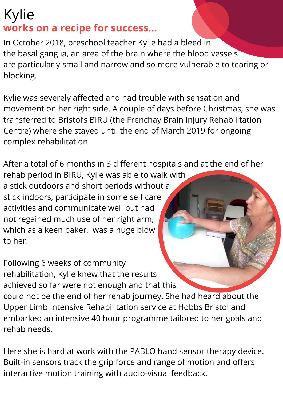## Kylie **works on a recipe for success...**

In October 2018, preschool teacher Kylie had a bleed in the basal ganglia, an area of the brain where the blood vessels are particularly small and narrow and so more vulnerable to tearing or blocking.

Kylie was severely affected and had trouble with sensation and movement on her right side. A couple of days before Christmas, she was transferred to Bristol's BIRU (the Frenchay Brain Injury Rehabilitation Centre) where she stayed until the end of March 2019 for ongoing complex rehabilitation.

After a total of 6 months in 3 different hospitals and at the end of her rehab period in BIRU, Kylie was able to walk with a stick outdoors and short periods without a stick indoors, participate in some self care activities and communicate well but had not regained much use of her right arm, which as a keen baker, was a huge blow to her.

Following 6 weeks of community rehabilitation, Kylie knew that the results achieved so far were not enough and that this could not be the end of her rehab journey. She had heard about the Upper Limb Intensive Rehabilitation service at Hobbs Bristol and embarked an intensive 40 hour programme tailored to her goals and rehab needs.

Here she is hard at work with the PABLO hand sensor therapy device. Built-in sensors track the grip force and range of motion and offers interactive motion training with audio-visual feedback.